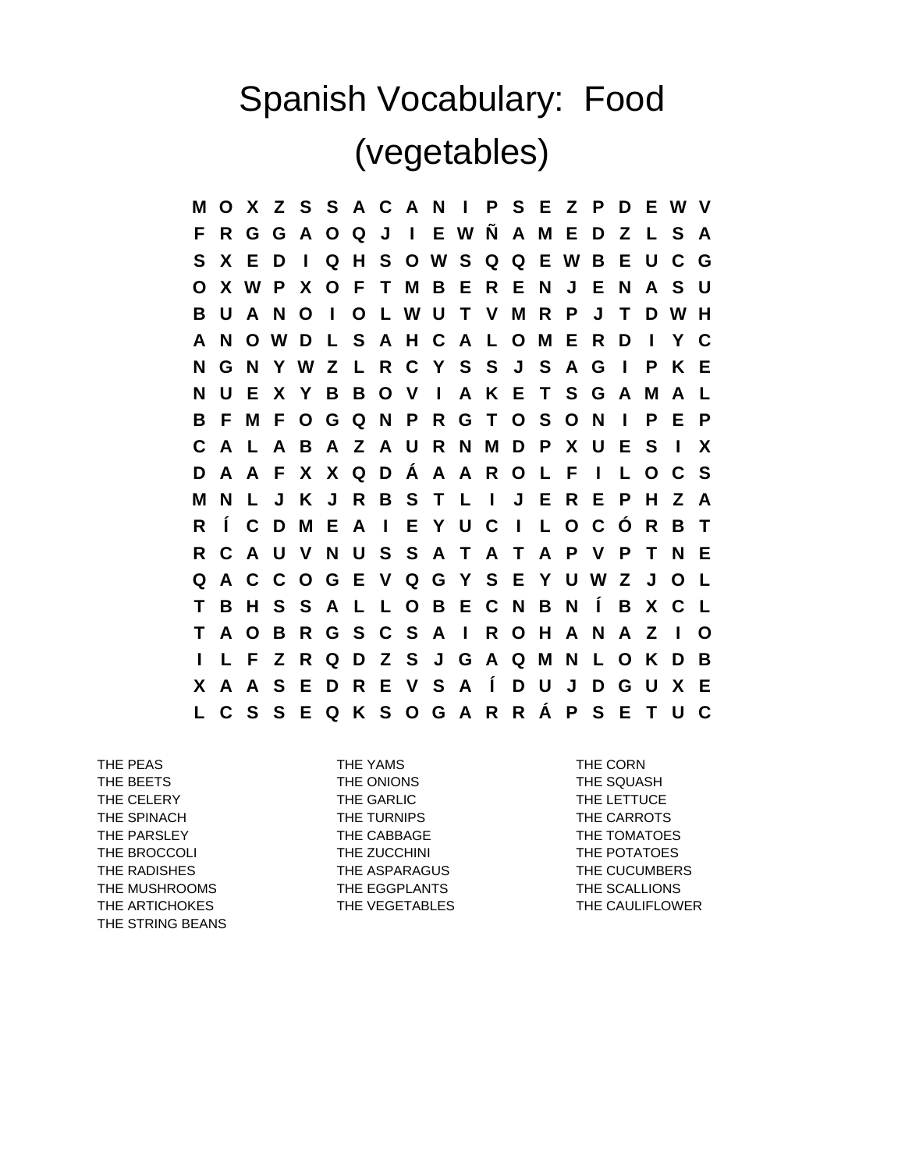## Spanish Vocabulary: Food (vegetables)

**M O X Z S S A C A N I P S E Z P D E W V F R G G A O Q J I E W Ñ A M E D Z L S A S X E D I Q H S O W S Q Q E W B E U C G O X W P X O F T M B E R E N J E N A S U B U A N O I O L W U T V M R P J T D W H A N O W D L S A H C A L O M E R D I Y C N G N Y W Z L R C Y S S J S A G I P K E N U E X Y B B O V I A K E T S G A M A L B F M F O G Q N P R G T O S O N I P E P C A L A B A Z A U R N M D P X U E S I X D A A F X X Q D Á A A R O L F I L O C S M N L J K J R B S T L I J E R E P H Z A R Í C D M E A I E Y U C I L O C Ó R B T R C A U V N U S S A T A T A P V P T N E Q A C C O G E V Q G Y S E Y U W Z J O L T B H S S A L L O B E C N B N Í B X C L T A O B R G S C S A I R O H A N A Z I O I L F Z R Q D Z S J G A Q M N L O K D B X A A S E D R E V S A Í D U J D G U X E L C S S E Q K S O G A R R Á P S E T U C**

THE BEETS THE ONIONS THE SQUASH THE CELERY THE GARLIC THE LETTUCE THE SPINACH THE TURNIPS THE TORNIPS THE CARROTS THE PARSLEY **THE CABBAGE THE TOMATOES** THE BROCCOLI **THE ZUCCHINI** THE TOTATOES THE RADISHES THE ASPARAGUS THE RESOLUTION THE CUCUMBERS THE MUSHROOMS THE EGGPLANTS THE SCALLIONS THE ARTICHOKES THE VEGETABLES THE CAULIFLOWER THE STRING BEANS

THE PEAS THE YAMS THE YAMS THE CORN